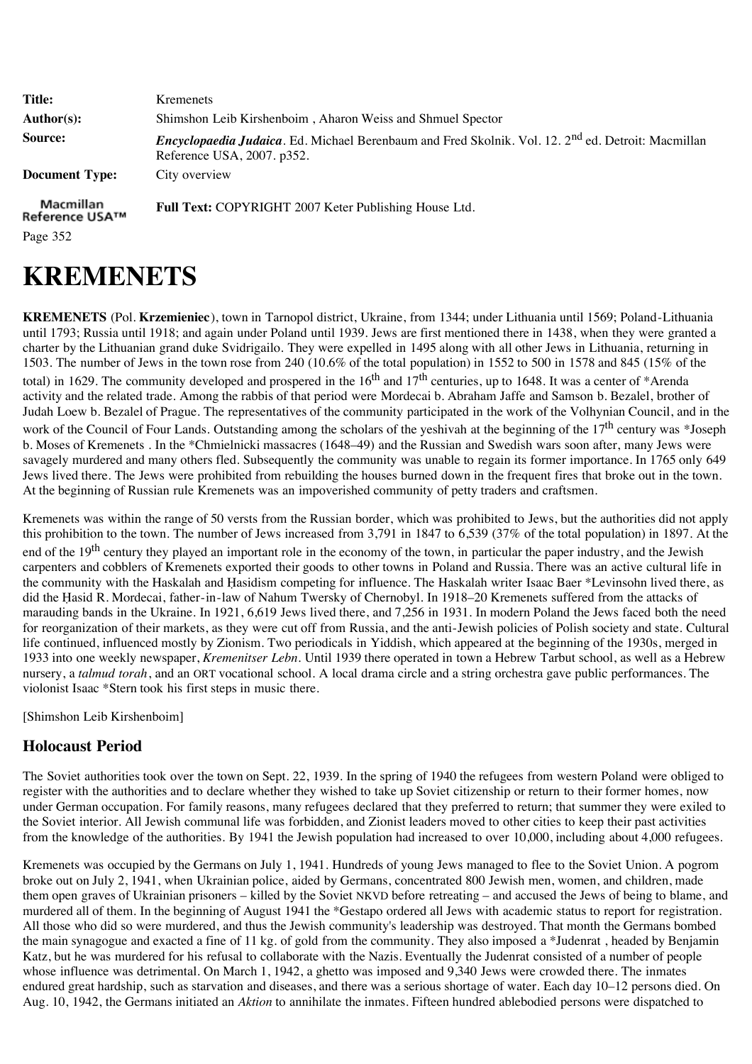| <b>Title:</b><br>Author(s):             | <b>K</b> remenets<br>Shimshon Leib Kirshenboim, Aharon Weiss and Shmuel Spector                                                                      |
|-----------------------------------------|------------------------------------------------------------------------------------------------------------------------------------------------------|
| Source:                                 | <i>Encyclopaedia Judaica</i> . Ed. Michael Berenbaum and Fred Skolnik. Vol. 12. 2 <sup>nd</sup> ed. Detroit: Macmillan<br>Reference USA, 2007. p352. |
| <b>Document Type:</b>                   | City overview                                                                                                                                        |
| Macmillan<br>Reference USA™<br>Page 352 | <b>Full Text:</b> COPYRIGHT 2007 Keter Publishing House Ltd.                                                                                         |

## **KREMENETS**

**KREMENETS** (Pol. **Krzemieniec**), town in Tarnopol district, Ukraine, from 1344; under Lithuania until 1569; Poland-Lithuania until 1793; Russia until 1918; and again under Poland until 1939. Jews are first mentioned there in 1438, when they were granted a charter by the Lithuanian grand duke Svidrigailo. They were expelled in 1495 along with all other Jews in Lithuania, returning in 1503. The number of Jews in the town rose from 240 (10.6% of the total population) in 1552 to 500 in 1578 and 845 (15% of the total) in 1629. The community developed and prospered in the  $16<sup>th</sup>$  and  $17<sup>th</sup>$  centuries, up to 1648. It was a center of \*Arenda activity and the related trade. Among the rabbis of that period were Mordecai b. Abraham Jaffe and Samson b. Bezalel, brother of Judah Loew b. Bezalel of Prague. The representatives of the community participated in the work of the Volhynian Council, and in the work of the Council of Four Lands. Outstanding among the scholars of the yeshivah at the beginning of the 17<sup>th</sup> century was \*Joseph b. Moses of Kremenets . In the \*Chmielnicki massacres (1648–49) and the Russian and Swedish wars soon after, many Jews were savagely murdered and many others fled. Subsequently the community was unable to regain its former importance. In 1765 only 649 Jews lived there. The Jews were prohibited from rebuilding the houses burned down in the frequent fires that broke out in the town. At the beginning of Russian rule Kremenets was an impoverished community of petty traders and craftsmen.

Kremenets was within the range of 50 versts from the Russian border, which was prohibited to Jews, but the authorities did not apply this prohibition to the town. The number of Jews increased from 3,791 in 1847 to 6,539 (37% of the total population) in 1897. At the end of the 19<sup>th</sup> century they played an important role in the economy of the town, in particular the paper industry, and the Jewish carpenters and cobblers of Kremenets exported their goods to other towns in Poland and Russia. There was an active cultural life in the community with the Haskalah and Ḥasidism competing for influence. The Haskalah writer Isaac Baer \*Levinsohn lived there, as did the Ḥasid R. Mordecai, father-in-law of Nahum Twersky of Chernobyl. In 1918–20 Kremenets suffered from the attacks of marauding bands in the Ukraine. In 1921, 6,619 Jews lived there, and 7,256 in 1931. In modern Poland the Jews faced both the need for reorganization of their markets, as they were cut off from Russia, and the anti-Jewish policies of Polish society and state. Cultural life continued, influenced mostly by Zionism. Two periodicals in Yiddish, which appeared at the beginning of the 1930s, merged in 1933 into one weekly newspaper, *Kremenitser Lebn*. Until 1939 there operated in town a Hebrew Tarbut school, as well as a Hebrew nursery, a *talmud torah*, and an ORT vocational school. A local drama circle and a string orchestra gave public performances. The violonist Isaac \*Stern took his first steps in music there.

[Shimshon Leib Kirshenboim]

## **Holocaust Period**

The Soviet authorities took over the town on Sept. 22, 1939. In the spring of 1940 the refugees from western Poland were obliged to register with the authorities and to declare whether they wished to take up Soviet citizenship or return to their former homes, now under German occupation. For family reasons, many refugees declared that they preferred to return; that summer they were exiled to the Soviet interior. All Jewish communal life was forbidden, and Zionist leaders moved to other cities to keep their past activities from the knowledge of the authorities. By 1941 the Jewish population had increased to over 10,000, including about 4,000 refugees.

Kremenets was occupied by the Germans on July 1, 1941. Hundreds of young Jews managed to flee to the Soviet Union. A pogrom broke out on July 2, 1941, when Ukrainian police, aided by Germans, concentrated 800 Jewish men, women, and children, made them open graves of Ukrainian prisoners – killed by the Soviet NKVD before retreating – and accused the Jews of being to blame, and murdered all of them. In the beginning of August 1941 the \*Gestapo ordered all Jews with academic status to report for registration. All those who did so were murdered, and thus the Jewish community's leadership was destroyed. That month the Germans bombed the main synagogue and exacted a fine of 11 kg. of gold from the community. They also imposed a \*Judenrat , headed by Benjamin Katz, but he was murdered for his refusal to collaborate with the Nazis. Eventually the Judenrat consisted of a number of people whose influence was detrimental. On March 1, 1942, a ghetto was imposed and 9,340 Jews were crowded there. The inmates endured great hardship, such as starvation and diseases, and there was a serious shortage of water. Each day 10–12 persons died. On Aug. 10, 1942, the Germans initiated an *Aktion* to annihilate the inmates. Fifteen hundred ablebodied persons were dispatched to